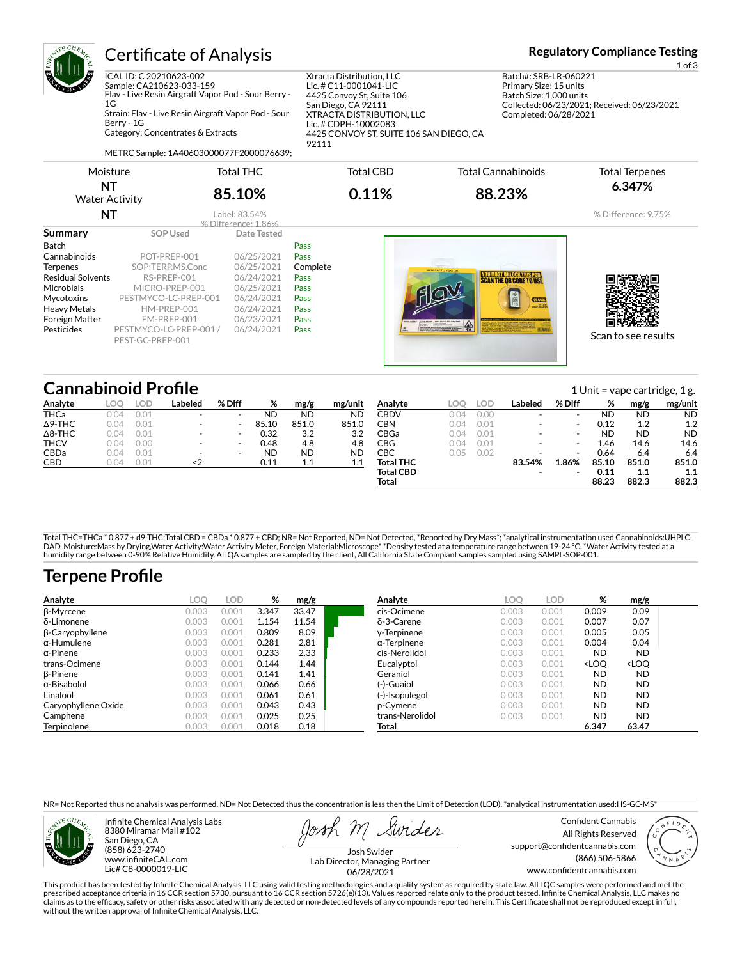

# Certificate of Analysis **Certificate of Analysis Regulatory Compliance Testing**

Category: Concentrates & Extracts

ICAL ID: C 20210623-002 Sample: CA210623-033-159 Flav - Live Resin Airgraft Vapor Pod - Sour Berry -  $1<sub>G</sub>$ Strain: Flav - Live Resin Airgraft Vapor Pod - Sour

Xtracta Distribution, LLC Lic. # C11-0001041-LIC 4425 Convoy St, Suite 106 San Diego, CA 92111 XTRACTA DISTRIBUTION, LLC Lic. # CDPH-10002083 4425 CONVOY ST, SUITE 106 SAN DIEGO, CA 92111

1 of 3

Batch#: SRB-LR-060221 Primary Size: 15 units Batch Size: 1,000 units Collected: 06/23/2021; Received: 06/23/2021 Completed: 06/28/2021

METRC Sample: 1A40603000077F2000076639;

Total THC Total CBD Total Cannabinoids Moisture Total Terpenes **NT 6.347% 88.23% 85.10% 0.11%** Water Activity **NT** Label: 83.54% % Difference: 9.75% % Difference: 1.86% **Summary SOP Used** Date Tested Batch **Pass** Cannabinoids POT-PREP-001 06/25/2021 Pass **Terpenes** SOP:TERP.MS.Conc 06/25/2021 **Complete**<br> **Residual Solvents** RS-PREP-001 06/24/2021 Pass Residual Solvents RS-PREP-001 06/24/2021 Pass <u>YOU MUST UNLOCK THIS POD'</u><br>S**CAN THE OR CODE TO U**SE п П Microbials MICRO-PREP-001 06/25/2021 Pass<br>
Mycotoxins PESTMYCO-IC-PREP-001 06/24/2021 Pass Mycotoxins PESTMYCO-LC-PREP-001 06/24/2021 Pass Heavy Metals HM-PREP-001 06/24/2021 Pass<br>
Foreign Matter FM-PREP-001 06/23/2021 Pass Foreign Matter FM-PREP-001 06/23/2021 Pass Pesticides PESTMYCO-LC-PREP-001 / 06/24/2021 Pass  $\frac{2}{3}$   $\frac{2}{3}$  is see results in the see results Scan to see results PEST-GC-PREP-001

# **Cannabinoid Profile** 2 and 2 and 2 and 2 and 2 and 2 and 2 and 2 and 2 and 2 and 2 and 2 and 2 and 2 and 2 and 2 and 2 and 2 and 2 and 2 and 2 and 2 and 2 and 2 and 2 and 2 and 2 and 2 and 2 and 2 and 2 and 2 and 2 and 2

Berry - 1G

|                |      |      |                          |                          |           |           |           |                  |      |      |                          | -----  |           |           |           |
|----------------|------|------|--------------------------|--------------------------|-----------|-----------|-----------|------------------|------|------|--------------------------|--------|-----------|-----------|-----------|
| Analyte        | LOC  | LOD  | Labeled                  | % Diff                   | %         | mg/g      | mg/unit   | Analyte          |      | lod  | Labeled                  | % Diff | %         | mg/g      | mg/unit   |
| THCa           | 0.04 | 0.01 | $\overline{\phantom{a}}$ | $\overline{\phantom{a}}$ | ND        | <b>ND</b> | <b>ND</b> | <b>CBDV</b>      | 0.04 | 0.00 | $\overline{\phantom{a}}$ | -      | <b>ND</b> | <b>ND</b> | <b>ND</b> |
| $\Delta$ 9-THC | 0.04 | 0.01 | -                        | $\overline{\phantom{0}}$ | 85.10     | 851.0     | 851.0     | CBN              | 0.04 | 0.01 | -                        |        | 0.12      | 1.2       | 1.2       |
| $\Delta$ 8-THC | 0.04 | 0.01 |                          | $\overline{\phantom{a}}$ | 0.32      | 3.2       | 3.2       | CBGa             | 0.04 | 0.01 |                          |        | <b>ND</b> | <b>ND</b> | <b>ND</b> |
| <b>THCV</b>    | 0.04 | 0.00 |                          | $\overline{\phantom{a}}$ | 0.48      | 4.8       | 4.8       | CBG              | 0.04 | 0.01 | $\sim$                   | ۰      | 1.46      | 14.6      | 14.6      |
| CBDa           | 0.04 | 0.01 |                          | -                        | <b>ND</b> | <b>ND</b> | ND        | СВС              | 0.05 | 0.02 |                          |        | 0.64      | 6.4       | 6.4       |
| CBD            | 0.04 | 0.01 |                          |                          | 0.11      | 1.1       | 1.1       | <b>Total THC</b> |      |      | 83.54%                   | 1.86%  | 85.10     | 851.0     | 851.0     |
|                |      |      |                          |                          |           |           |           | <b>Total CBD</b> |      |      | $\sim$                   |        | 0.11      | 1.1       | 1.1       |
|                |      |      |                          |                          |           |           |           | Total            |      |      |                          |        | 88.23     | 882.3     | 882.3     |

Total THC=THCa \* 0.877 + d9-THC;Total CBD = CBDa \* 0.877 + CBD; NR= Not Reported, ND= Not Detected, \*Reported by Dry Mass\*; \*analytical instrumentation used Cannabinoids:UHPLC-DAD, Moisture:Mass by Drying,Water Activity:Water Activity Meter, Foreign Material:Microscope\* \*Density tested at a temperature range between 19-24 °C, \*Water Activity tested at a<br>humidity range between 0-90% Relative Humi

# Terpene Profile

| Analyte             | <b>LOO</b> | <b>LOD</b>        | %     | mg/g  | Analyte<br>LOO               | <b>LOD</b> | %                                               | mg/g                |
|---------------------|------------|-------------------|-------|-------|------------------------------|------------|-------------------------------------------------|---------------------|
| β-Myrcene           | 0.003      | $0.00^{\circ}$    | 3.347 | 33.47 | cis-Ocimene<br>0.003         | 0.001      | 0.009                                           | 0.09                |
| δ-Limonene          | 0.003      |                   | 1.154 | 11.54 | $\delta$ -3-Carene<br>0.003  | 0.001      | 0.007                                           | 0.07                |
| β-Caryophyllene     | 0.003      | 0.001             | 0.809 | 8.09  | y-Terpinene<br>0.003         | 0.001      | 0.005                                           | 0.05                |
| $\alpha$ -Humulene  | 0.003      | 0.001             | 0.281 | 2.81  | 0.003<br>$\alpha$ -Terpinene | 0.001      | 0.004                                           | 0.04                |
| $\alpha$ -Pinene    | 0.003      | J.001             | 0.233 | 2.33  | 0.003<br>cis-Nerolidol       | 0.001      | <b>ND</b>                                       | <b>ND</b>           |
| trans-Ocimene       | 0.003      | 0.001             | 0.144 | 1.44  | 0.003<br>Eucalyptol          | 0.001      | <loq< td=""><td><loq< td=""></loq<></td></loq<> | <loq< td=""></loq<> |
| <b>B-Pinene</b>     | 0.003      | 0.001             | 0.141 | 1.41  | 0.003<br>Geraniol            | 0.001      | <b>ND</b>                                       | ND                  |
| $\alpha$ -Bisabolol | 0.003      | J.001             | 0.066 | 0.66  | (-)-Guaiol<br>0.003          | 0.001      | <b>ND</b>                                       | <b>ND</b>           |
| Linalool            | 0.003      | 0.001             | 0.061 | 0.61  | 0.003<br>(-)-Isopulegol      | 0.001      | <b>ND</b>                                       | <b>ND</b>           |
| Caryophyllene Oxide | 0.003      | 0.001             | 0.043 | 0.43  | 0.003<br>p-Cymene            | 0.001      | <b>ND</b>                                       | <b>ND</b>           |
| Camphene            | 0.003      | $0.00^{4}$        | 0.025 | 0.25  | 0.003<br>trans-Nerolidol     | 0.001      | <b>ND</b>                                       | <b>ND</b>           |
| Terpinolene         | 0.003      | 0.00 <sup>4</sup> | 0.018 | 0.18  | Total                        |            | 6.347                                           | 63.47               |

NR= Not Reported thus no analysis was performed, ND= Not Detected thus the concentration is less then the Limit of Detection (LOD), \*analytical instrumentation used:HS-GC-MS\*



Infinite Chemical Analysis Labs 8380 Miramar Mall #102 San Diego, CA (858) 623-2740 www.infiniteCAL.com Lic# C8-0000019-LIC

Swides

Confident Cannabis All Rights Reserved support@confidentcannabis.com (866) 506-5866 www.confidentcannabis.com



Josh Swider Lab Director, Managing Partner 06/28/2021

This product has been tested by Infinite Chemical Analysis, LLC using valid testing methodologies and a quality system as required by state law. All LQC samples were performed and met the prescribed acceptance criteria in 16 CCR section 5730, pursuant to 16 CCR section 5726(e)(13). Values reported relate only to the product tested. Infinite Chemical Analysis, LLC makes no<br>claims as to the efficacy, safety o without the written approval of Infinite Chemical Analysis, LLC.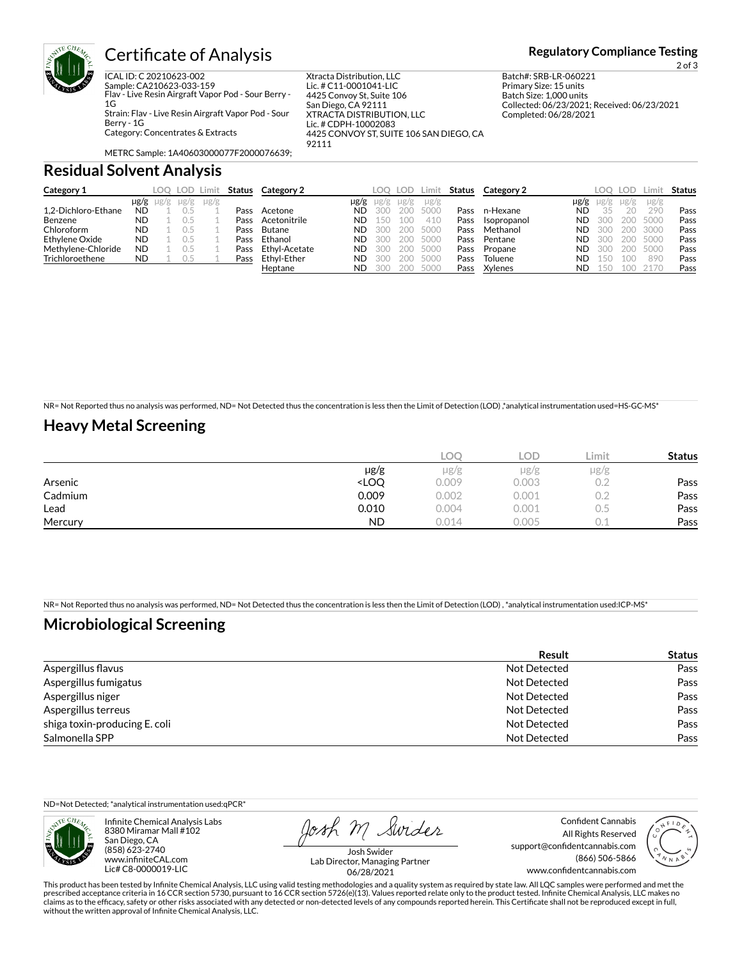

# Certificate of Analysis **Certificate of Analysis Regulatory Compliance Testing**

ICAL ID: C 20210623-002 Sample: CA210623-033-159 Flav - Live Resin Airgraft Vapor Pod - Sour Berry -  $1<sub>G</sub>$ 

Strain: Flav - Live Resin Airgraft Vapor Pod - Sour

Category: Concentrates & Extracts

Xtracta Distribution, LLC Lic. # C11-0001041-LIC 4425 Convoy St, Suite 106 San Diego, CA 92111 XTRACTA DISTRIBUTION, LLC Lic. # CDPH-10002083 4425 CONVOY ST, SUITE 106 SAN DIEGO, CA 92111

2 of 3

Batch#: SRB-LR-060221 Primary Size: 15 units Batch Size: 1,000 units Collected: 06/23/2021; Received: 06/23/2021 Completed: 06/28/2021

METRC Sample: 1A40603000077F2000076639;

### **Residual Solvent Analysis**

Berry - 1G

| Category 1          |           |           |           | LOQ LOD Limit |      | <b>Status</b> Category 2 |           | LOO       | LOD  | Limit     | Status | <b>Category 2</b> |      | LOO       | lud       | _imit     | <b>Status</b> |
|---------------------|-----------|-----------|-----------|---------------|------|--------------------------|-----------|-----------|------|-----------|--------|-------------------|------|-----------|-----------|-----------|---------------|
|                     | µg/g      | $\mu$ g/g | $\mu$ g/g | $\mu$ g/g     |      |                          | $\mu$ g/g | $\mu$ g/g | ug/g | $\mu$ g/g |        |                   | µg/g | $\mu$ g/g | $\mu$ g/g | $\mu$ g/g |               |
| 1.2-Dichloro-Ethane | <b>ND</b> |           |           |               | Pass | Acetone                  | ND        | 300       | 200  | 5000      | Pass   | n-Hexane          | ND   | 35        | $20 -$    | 290       | Pass          |
| Benzene             | <b>ND</b> |           |           |               | Pass | Acetonitrile             | ND        | 150       |      | 410       | Pass   | Isopropanol       | ND   | 300       | 200.      | 5000      | Pass          |
| Chloroform          | <b>ND</b> |           |           |               | Pass | Butane                   | ND        | 300       | 200  | 5000      | Pass   | Methanol          | ND   | 300       | 200.      | 3000      | Pass          |
| Ethylene Oxide      | <b>ND</b> |           |           |               | Pass | Ethanol                  | ND        | 300       | 200  | 5000      | Pass   | Pentane           | ND   | 300       | 200       | 5000      | Pass          |
| Methylene-Chloride  | <b>ND</b> |           |           |               | Pass | Ethyl-Acetate            | ND        | 300       | 200  | 5000      | Pass   | Propane           | ND   | 300       | 200       | 5000      | Pass          |
| Trichloroethene     | <b>ND</b> |           | U.5       |               | Pass | Ethvl-Ether              | ND        | 300       | 200  | 5000      | Pass   | Toluene           | ND   | 150       | 100       | 890       | Pass          |
|                     |           |           |           |               |      | Heptane                  | ND.       | 300       | 200  | 5000      | Pass   | Xylenes           | ND   | 150       | 100       | 2170      | Pass          |

NR= Not Reported thus no analysis was performed, ND= Not Detected thus the concentration is less then the Limit of Detection (LOD) ,\*analytical instrumentation used=HS-GC-MS\*

## **Heavy Metal Screening**

|         |                                                                          | <b>LOC</b> | LOD       | Limit | <b>Status</b> |
|---------|--------------------------------------------------------------------------|------------|-----------|-------|---------------|
|         | $\mu$ g/g                                                                | µg/g       | $\mu$ g/g | µg/g  |               |
| Arsenic | <loq< th=""><th>0.009</th><th>0.003</th><th>0.2</th><th>Pass</th></loq<> | 0.009      | 0.003     | 0.2   | Pass          |
| Cadmium | 0.009                                                                    | 0.002      | 0.001     |       | Pass          |
| Lead    | 0.010                                                                    | 0.004      | 0.001     | U.5   | Pass          |
| Mercury | <b>ND</b>                                                                | 0.014      | 0.005     |       | Pass          |

NR= Not Reported thus no analysis was performed, ND= Not Detected thus the concentration is less then the Limit of Detection (LOD) , \*analytical instrumentation used:ICP-MS\*

## **Microbiological Screening**

|                               | <b>Result</b> | <b>Status</b> |
|-------------------------------|---------------|---------------|
| Aspergillus flavus            | Not Detected  | Pass          |
| Aspergillus fumigatus         | Not Detected  | Pass          |
| Aspergillus niger             | Not Detected  | Pass          |
| Aspergillus terreus           | Not Detected  | Pass          |
| shiga toxin-producing E. coli | Not Detected  | Pass          |
| Salmonella SPP                | Not Detected  | Pass          |

ND=Not Detected; \*analytical instrumentation used:qPCR\*



Infinite Chemical Analysis Labs 8380 Miramar Mall #102 San Diego, CA (858) 623-2740 www.infiniteCAL.com Lic# C8-0000019-LIC

Josh M Swider

Confident Cannabis All Rights Reserved support@confidentcannabis.com (866) 506-5866 www.confidentcannabis.com



Josh Swider Lab Director, Managing Partner 06/28/2021

This product has been tested by Infinite Chemical Analysis, LLC using valid testing methodologies and a quality system as required by state law. All LQC samples were performed and met the prescribed acceptance criteria in 16 CCR section 5730, pursuant to 16 CCR section 5726(e)(13). Values reported relate only to the product tested. Infinite Chemical Analysis, LLC makes no<br>claims as to the efficacy, safety o without the written approval of Infinite Chemical Analysis, LLC.